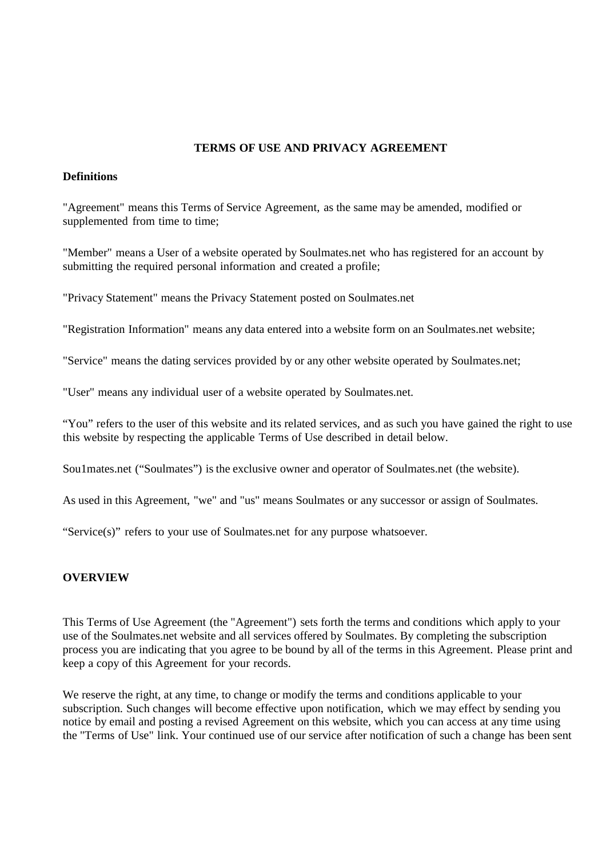# **TERMS OF USE AND PRIVACY AGREEMENT**

#### **Definitions**

"Agreement" means this Terms of Service Agreement, as the same may be amended, modified or supplemented from time to time;

"Member" means a User of a website operated by Soulmates.net who has registered for an account by submitting the required personal information and created a profile;

"Privacy Statement" means the Privacy Statement posted on Soulmates.net

"Registration Information" means any data entered into a website form on an Soulmates.net website;

"Service" means the dating services provided by or any other website operated by Soulmates.net;

"User" means any individual user of a website operated by Soulmates.net.

"You" refers to the user of this website and its related services, and as such you have gained the right to use this website by respecting the applicable Terms of Use described in detail below.

Sou1mates.net ("Soulmates") is the exclusive owner and operator of Soulmates.net (the website).

As used in this Agreement, "we" and "us" means Soulmates or any successor or assign of Soulmates.

"Service(s)" refers to your use of Soulmates.net for any purpose whatsoever.

### **OVERVIEW**

This Terms of Use Agreement (the "Agreement") sets forth the terms and conditions which apply to your use of the Soulmates.net website and all services offered by Soulmates. By completing the subscription process you are indicating that you agree to be bound by all of the terms in this Agreement. Please print and keep a copy of this Agreement for your records.

We reserve the right, at any time, to change or modify the terms and conditions applicable to your subscription. Such changes will become effective upon notification, which we may effect by sending you notice by email and posting a revised Agreement on this website, which you can access at any time using the "Terms of Use" link. Your continued use of our service after notification of such a change has been sent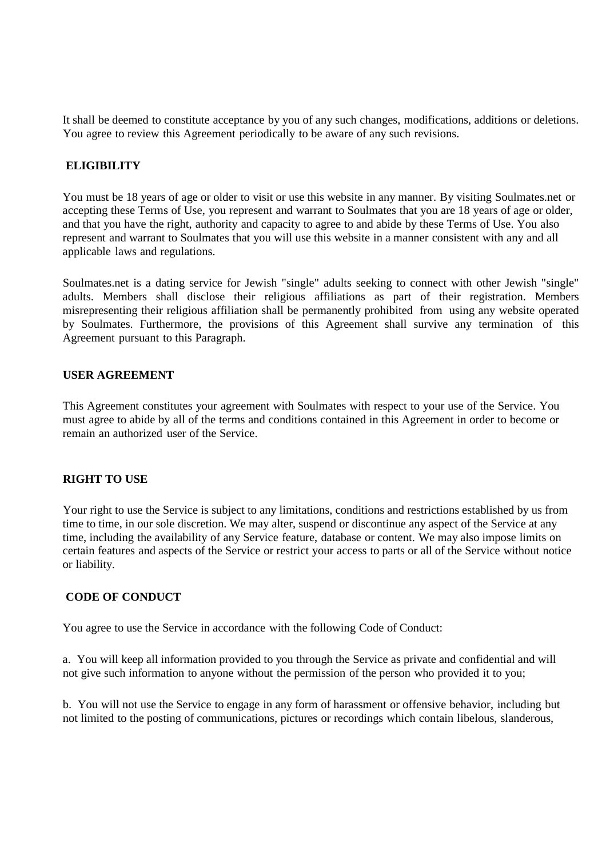It shall be deemed to constitute acceptance by you of any such changes, modifications, additions or deletions. You agree to review this Agreement periodically to be aware of any such revisions.

### **ELIGIBILITY**

You must be 18 years of age or older to visit or use this website in any manner. By visiting Soulmates.net or accepting these Terms of Use, you represent and warrant to Soulmates that you are 18 years of age or older, and that you have the right, authority and capacity to agree to and abide by these Terms of Use. You also represent and warrant to Soulmates that you will use this website in a manner consistent with any and all applicable laws and regulations.

Soulmates.net is a dating service for Jewish "single" adults seeking to connect with other Jewish "single" adults. Members shall disclose their religious affiliations as part of their registration. Members misrepresenting their religious affiliation shall be permanently prohibited from using any website operated by Soulmates. Furthermore, the provisions of this Agreement shall survive any termination of this Agreement pursuant to this Paragraph.

#### **USER AGREEMENT**

This Agreement constitutes your agreement with Soulmates with respect to your use of the Service. You must agree to abide by all of the terms and conditions contained in this Agreement in order to become or remain an authorized user of the Service.

#### **RIGHT TO USE**

Your right to use the Service is subject to any limitations, conditions and restrictions established by us from time to time, in our sole discretion. We may alter, suspend or discontinue any aspect of the Service at any time, including the availability of any Service feature, database or content. We may also impose limits on certain features and aspects of the Service or restrict your access to parts or all of the Service without notice or liability.

### **CODE OF CONDUCT**

You agree to use the Service in accordance with the following Code of Conduct:

a. You will keep all information provided to you through the Service as private and confidential and will not give such information to anyone without the permission of the person who provided it to you;

b. You will not use the Service to engage in any form of harassment or offensive behavior, including but not limited to the posting of communications, pictures or recordings which contain libelous, slanderous,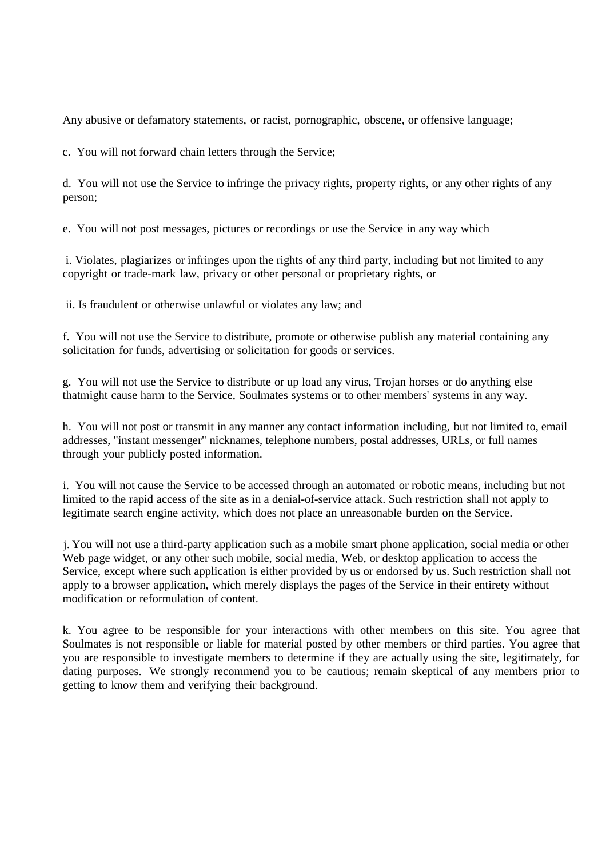Any abusive or defamatory statements, or racist, pornographic, obscene, or offensive language;

c. You will not forward chain letters through the Service;

d. You will not use the Service to infringe the privacy rights, property rights, or any other rights of any person;

e. You will not post messages, pictures or recordings or use the Service in any way which

i. Violates, plagiarizes or infringes upon the rights of any third party, including but not limited to any copyright or trade-mark law, privacy or other personal or proprietary rights, or

ii. Is fraudulent or otherwise unlawful or violates any law; and

f. You will not use the Service to distribute, promote or otherwise publish any material containing any solicitation for funds, advertising or solicitation for goods or services.

g. You will not use the Service to distribute or up load any virus, Trojan horses or do anything else thatmight cause harm to the Service, Soulmates systems or to other members' systems in any way.

h. You will not post or transmit in any manner any contact information including, but not limited to, email addresses, "instant messenger" nicknames, telephone numbers, postal addresses, URLs, or full names through your publicly posted information.

i. You will not cause the Service to be accessed through an automated or robotic means, including but not limited to the rapid access of the site as in a denial-of-service attack. Such restriction shall not apply to legitimate search engine activity, which does not place an unreasonable burden on the Service.

j. You will not use a third-party application such as a mobile smart phone application, social media or other Web page widget, or any other such mobile, social media, Web, or desktop application to access the Service, except where such application is either provided by us or endorsed by us. Such restriction shall not apply to a browser application, which merely displays the pages of the Service in their entirety without modification or reformulation of content.

k. You agree to be responsible for your interactions with other members on this site. You agree that Soulmates is not responsible or liable for material posted by other members or third parties. You agree that you are responsible to investigate members to determine if they are actually using the site, legitimately, for dating purposes. We strongly recommend you to be cautious; remain skeptical of any members prior to getting to know them and verifying their background.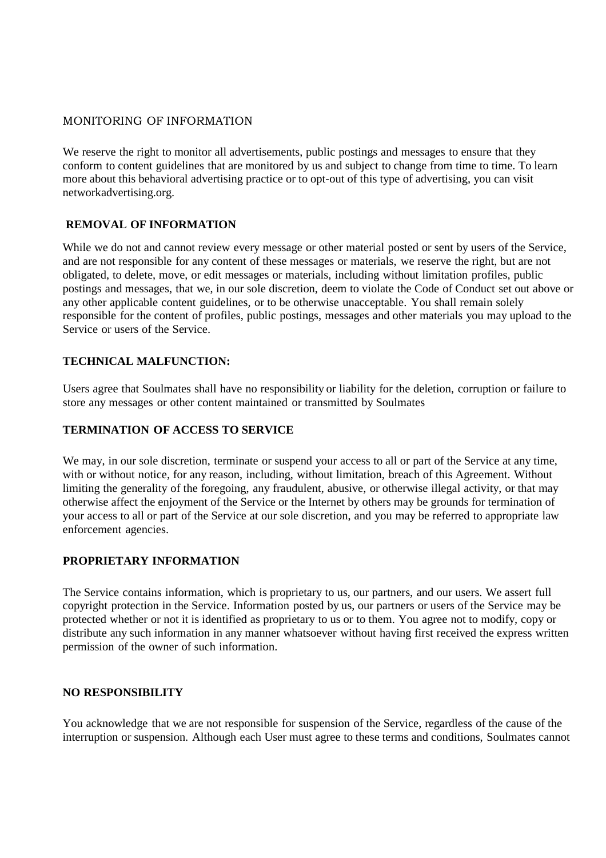# MONITORING OF INFORMATION

We reserve the right to monitor all advertisements, public postings and messages to ensure that they conform to content guidelines that are monitored by us and subject to change from time to time. To learn more about this behavioral advertising practice or to opt-out of this type of advertising, you can visit networkadvertising.org.

# **REMOVAL OF INFORMATION**

While we do not and cannot review every message or other material posted or sent by users of the Service, and are not responsible for any content of these messages or materials, we reserve the right, but are not obligated, to delete, move, or edit messages or materials, including without limitation profiles, public postings and messages, that we, in our sole discretion, deem to violate the Code of Conduct set out above or any other applicable content guidelines, or to be otherwise unacceptable. You shall remain solely responsible for the content of profiles, public postings, messages and other materials you may upload to the Service or users of the Service.

### **TECHNICAL MALFUNCTION:**

Users agree that Soulmates shall have no responsibility or liability for the deletion, corruption or failure to store any messages or other content maintained or transmitted by Soulmates

### **TERMINATION OF ACCESS TO SERVICE**

We may, in our sole discretion, terminate or suspend your access to all or part of the Service at any time, with or without notice, for any reason, including, without limitation, breach of this Agreement. Without limiting the generality of the foregoing, any fraudulent, abusive, or otherwise illegal activity, or that may otherwise affect the enjoyment of the Service or the Internet by others may be grounds for termination of your access to all or part of the Service at our sole discretion, and you may be referred to appropriate law enforcement agencies.

### **PROPRIETARY INFORMATION**

The Service contains information, which is proprietary to us, our partners, and our users. We assert full copyright protection in the Service. Information posted by us, our partners or users of the Service may be protected whether or not it is identified as proprietary to us or to them. You agree not to modify, copy or distribute any such information in any manner whatsoever without having first received the express written permission of the owner of such information.

### **NO RESPONSIBILITY**

You acknowledge that we are not responsible for suspension of the Service, regardless of the cause of the interruption or suspension. Although each User must agree to these terms and conditions, Soulmates cannot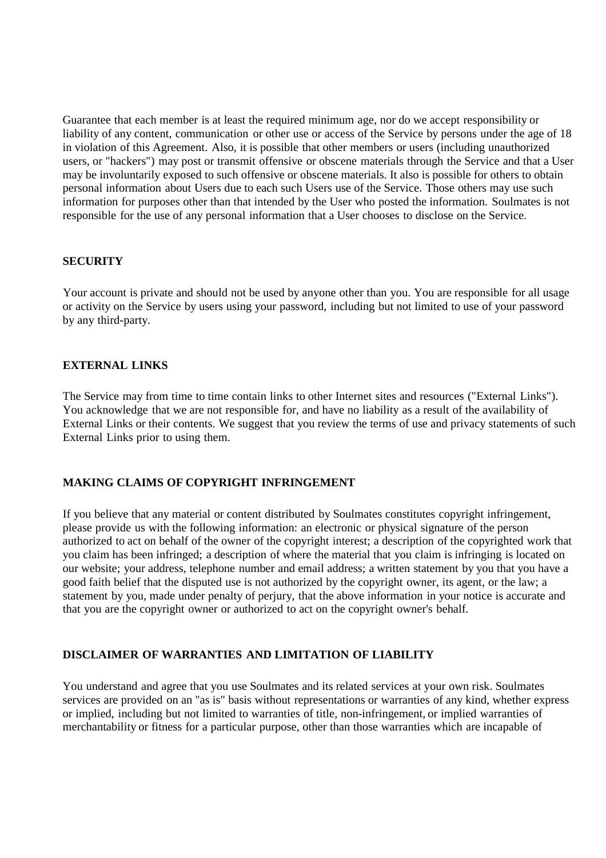Guarantee that each member is at least the required minimum age, nor do we accept responsibility or liability of any content, communication or other use or access of the Service by persons under the age of 18 in violation of this Agreement. Also, it is possible that other members or users (including unauthorized users, or "hackers") may post or transmit offensive or obscene materials through the Service and that a User may be involuntarily exposed to such offensive or obscene materials. It also is possible for others to obtain personal information about Users due to each such Users use of the Service. Those others may use such information for purposes other than that intended by the User who posted the information. Soulmates is not responsible for the use of any personal information that a User chooses to disclose on the Service.

### **SECURITY**

Your account is private and should not be used by anyone other than you. You are responsible for all usage or activity on the Service by users using your password, including but not limited to use of your password by any third-party.

### **EXTERNAL LINKS**

The Service may from time to time contain links to other Internet sites and resources ("External Links"). You acknowledge that we are not responsible for, and have no liability as a result of the availability of External Links or their contents. We suggest that you review the terms of use and privacy statements of such External Links prior to using them.

### **MAKING CLAIMS OF COPYRIGHT INFRINGEMENT**

If you believe that any material or content distributed by Soulmates constitutes copyright infringement, please provide us with the following information: an electronic or physical signature of the person authorized to act on behalf of the owner of the copyright interest; a description of the copyrighted work that you claim has been infringed; a description of where the material that you claim is infringing is located on our website; your address, telephone number and email address; a written statement by you that you have a good faith belief that the disputed use is not authorized by the copyright owner, its agent, or the law; a statement by you, made under penalty of perjury, that the above information in your notice is accurate and that you are the copyright owner or authorized to act on the copyright owner's behalf.

# **DISCLAIMER OF WARRANTIES AND LIMITATION OF LIABILITY**

You understand and agree that you use Soulmates and its related services at your own risk. Soulmates services are provided on an "as is" basis without representations or warranties of any kind, whether express or implied, including but not limited to warranties of title, non-infringement, or implied warranties of merchantability or fitness for a particular purpose, other than those warranties which are incapable of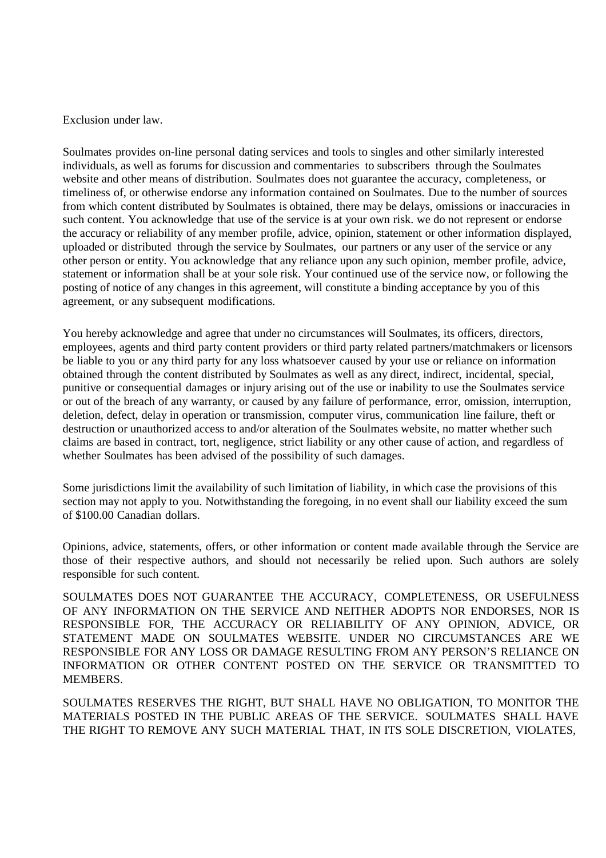Exclusion under law.

Soulmates provides on-line personal dating services and tools to singles and other similarly interested individuals, as well as forums for discussion and commentaries to subscribers through the Soulmates website and other means of distribution. Soulmates does not guarantee the accuracy, completeness, or timeliness of, or otherwise endorse any information contained on Soulmates. Due to the number of sources from which content distributed by Soulmates is obtained, there may be delays, omissions or inaccuracies in such content. You acknowledge that use of the service is at your own risk. we do not represent or endorse the accuracy or reliability of any member profile, advice, opinion, statement or other information displayed, uploaded or distributed through the service by Soulmates, our partners or any user of the service or any other person or entity. You acknowledge that any reliance upon any such opinion, member profile, advice, statement or information shall be at your sole risk. Your continued use of the service now, or following the posting of notice of any changes in this agreement, will constitute a binding acceptance by you of this agreement, or any subsequent modifications.

You hereby acknowledge and agree that under no circumstances will Soulmates, its officers, directors, employees, agents and third party content providers or third party related partners/matchmakers or licensors be liable to you or any third party for any loss whatsoever caused by your use or reliance on information obtained through the content distributed by Soulmates as well as any direct, indirect, incidental, special, punitive or consequential damages or injury arising out of the use or inability to use the Soulmates service or out of the breach of any warranty, or caused by any failure of performance, error, omission, interruption, deletion, defect, delay in operation or transmission, computer virus, communication line failure, theft or destruction or unauthorized access to and/or alteration of the Soulmates website, no matter whether such claims are based in contract, tort, negligence, strict liability or any other cause of action, and regardless of whether Soulmates has been advised of the possibility of such damages.

Some jurisdictions limit the availability of such limitation of liability, in which case the provisions of this section may not apply to you. Notwithstanding the foregoing, in no event shall our liability exceed the sum of \$100.00 Canadian dollars.

Opinions, advice, statements, offers, or other information or content made available through the Service are those of their respective authors, and should not necessarily be relied upon. Such authors are solely responsible for such content.

SOULMATES DOES NOT GUARANTEE THE ACCURACY, COMPLETENESS, OR USEFULNESS OF ANY INFORMATION ON THE SERVICE AND NEITHER ADOPTS NOR ENDORSES, NOR IS RESPONSIBLE FOR, THE ACCURACY OR RELIABILITY OF ANY OPINION, ADVICE, OR STATEMENT MADE ON SOULMATES WEBSITE. UNDER NO CIRCUMSTANCES ARE WE RESPONSIBLE FOR ANY LOSS OR DAMAGE RESULTING FROM ANY PERSON'S RELIANCE ON INFORMATION OR OTHER CONTENT POSTED ON THE SERVICE OR TRANSMITTED TO MEMBERS.

SOULMATES RESERVES THE RIGHT, BUT SHALL HAVE NO OBLIGATION, TO MONITOR THE MATERIALS POSTED IN THE PUBLIC AREAS OF THE SERVICE. SOULMATES SHALL HAVE THE RIGHT TO REMOVE ANY SUCH MATERIAL THAT, IN ITS SOLE DISCRETION, VIOLATES,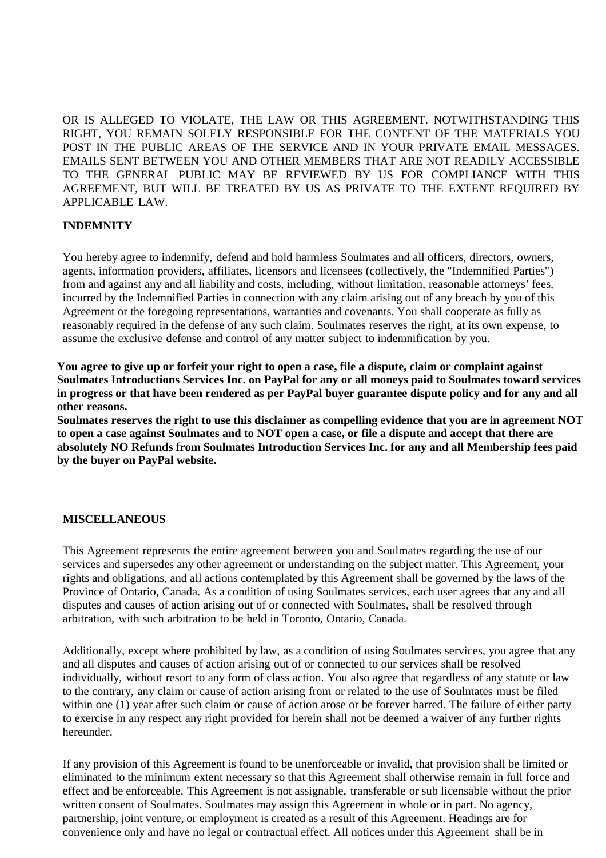OR IS ALLEGED TO VIOLATE, THE LAW OR THIS AGREEMENT. NOTWITHSTANDING THIS RIGHT, YOU REMAIN SOLELY RESPONSIBLE FOR THE CONTENT OF THE MATERIALS YOU POST IN THE PUBLIC AREAS OF THE SERVICE AND IN YOUR PRIVATE EMAIL MESSAGES. EMAILS SENT BETWEEN YOU AND OTHER MEMBERS THAT ARE NOT READILY ACCESSIBLE TO THE GENERAL PUBLIC MAY BE REVIEWED BY US FOR COMPLIANCE WITH THIS AGREEMENT, BUT WILL BE TREATED BY US AS PRIVATE TO THE EXTENT REQUIRED BY APPLICABLE LAW.

### **INDEMNITY**

You hereby agree to indemnify, defend and hold harmless Soulmates and all officers, directors, owners, agents, information providers, affiliates, licensors and licensees (collectively, the "Indemnified Parties") from and against any and all liability and costs, including, without limitation, reasonable attorneys' fees, incurred by the Indemnified Parties in connection with any claim arising out of any breach by you of this Agreement or the foregoing representations, warranties and covenants. You shall cooperate as fully as reasonably required in the defense of any such claim. Soulmates reserves the right, at its own expense, to assume the exclusive defense and control of any matter subject to indemnification by you.

**You agree to give up or forfeit your right to open a case, file a dispute, claim or complaint against Soulmates Introductions Services Inc. on PayPal for any or all moneys paid to Soulmates toward services in progress or that have been rendered as per PayPal buyer guarantee dispute policy and for any and all other reasons.**

**Soulmates reserves the right to use this disclaimer as compelling evidence that you are in agreement NOT to open a case against Soulmates and to NOT open a case, or file a dispute and accept that there are absolutely NO Refunds from Soulmates Introduction Services Inc. for any and all Membership fees paid by the buyer on PayPal website.** 

### **MISCELLANEOUS**

This Agreement represents the entire agreement between you and Soulmates regarding the use of our services and supersedes any other agreement or understanding on the subject matter. This Agreement, your rights and obligations, and all actions contemplated by this Agreement shall be governed by the laws of the Province of Ontario, Canada. As a condition of using Soulmates services, each user agrees that any and all disputes and causes of action arising out of or connected with Soulmates, shall be resolved through arbitration, with such arbitration to be held in Toronto, Ontario, Canada.

Additionally, except where prohibited by law, as a condition of using Soulmates services, you agree that any and all disputes and causes of action arising out of or connected to our services shall be resolved individually, without resort to any form of class action. You also agree that regardless of any statute or law to the contrary, any claim or cause of action arising from or related to the use of Soulmates must be filed within one (1) year after such claim or cause of action arose or be forever barred. The failure of either party to exercise in any respect any right provided for herein shall not be deemed a waiver of any further rights hereunder.

If any provision of this Agreement is found to be unenforceable or invalid, that provision shall be limited or eliminated to the minimum extent necessary so that this Agreement shall otherwise remain in full force and effect and be enforceable. This Agreement is not assignable, transferable or sub licensable without the prior written consent of Soulmates. Soulmates may assign this Agreement in whole or in part. No agency, partnership, joint venture, or employment is created as a result of this Agreement. Headings are for convenience only and have no legal or contractual effect. All notices under this Agreement shall be in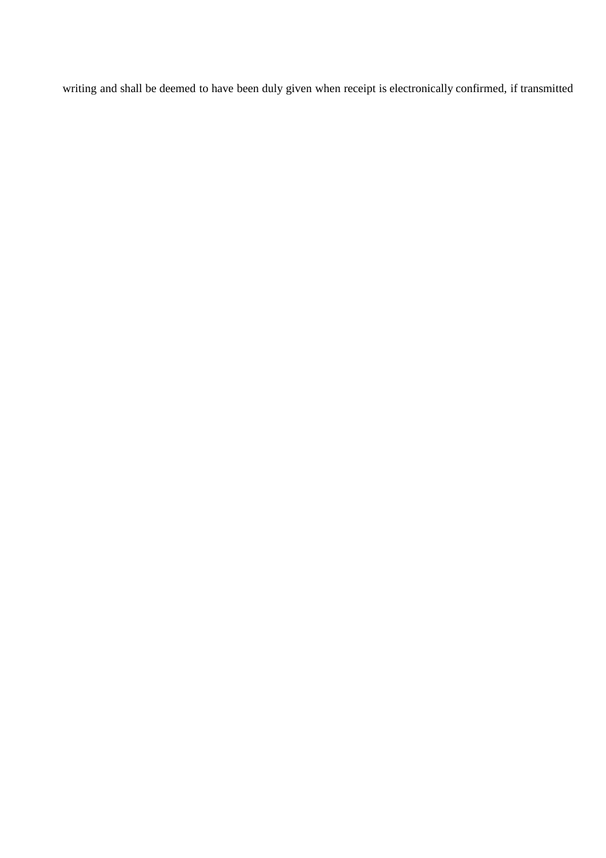writing and shall be deemed to have been duly given when receipt is electronically confirmed, if transmitted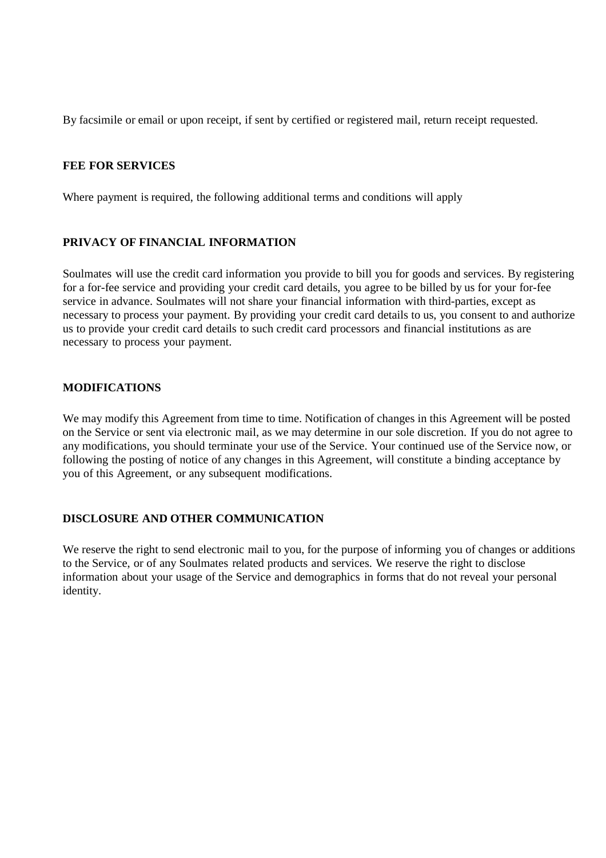By facsimile or email or upon receipt, if sent by certified or registered mail, return receipt requested.

#### **FEE FOR SERVICES**

Where payment is required, the following additional terms and conditions will apply

### **PRIVACY OF FINANCIAL INFORMATION**

Soulmates will use the credit card information you provide to bill you for goods and services. By registering for a for-fee service and providing your credit card details, you agree to be billed by us for your for-fee service in advance. Soulmates will not share your financial information with third-parties, except as necessary to process your payment. By providing your credit card details to us, you consent to and authorize us to provide your credit card details to such credit card processors and financial institutions as are necessary to process your payment.

#### **MODIFICATIONS**

We may modify this Agreement from time to time. Notification of changes in this Agreement will be posted on the Service or sent via electronic mail, as we may determine in our sole discretion. If you do not agree to any modifications, you should terminate your use of the Service. Your continued use of the Service now, or following the posting of notice of any changes in this Agreement, will constitute a binding acceptance by you of this Agreement, or any subsequent modifications.

### **DISCLOSURE AND OTHER COMMUNICATION**

We reserve the right to send electronic mail to you, for the purpose of informing you of changes or additions to the Service, or of any Soulmates related products and services. We reserve the right to disclose information about your usage of the Service and demographics in forms that do not reveal your personal identity.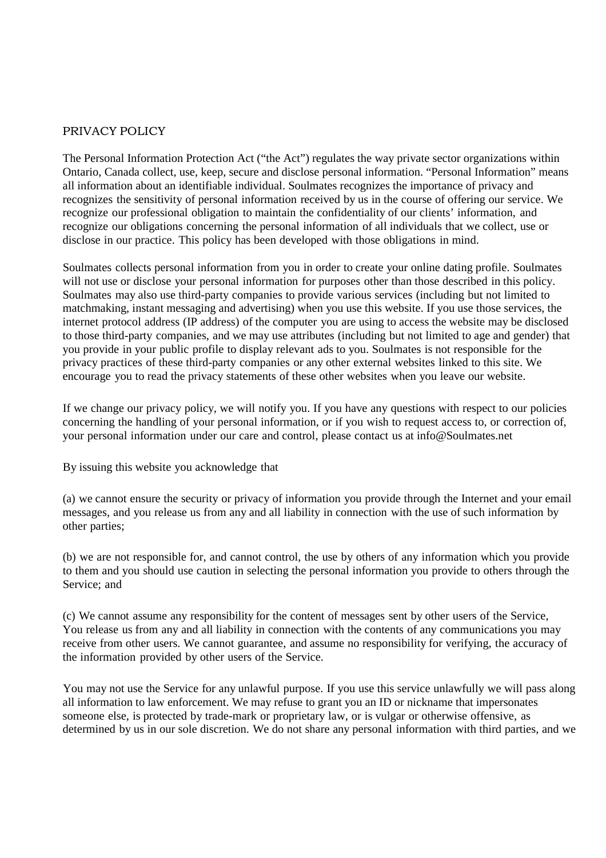### PRIVACY POLICY

The Personal Information Protection Act ("the Act") regulates the way private sector organizations within Ontario, Canada collect, use, keep, secure and disclose personal information. "Personal Information" means all information about an identifiable individual. Soulmates recognizes the importance of privacy and recognizes the sensitivity of personal information received by us in the course of offering our service. We recognize our professional obligation to maintain the confidentiality of our clients' information, and recognize our obligations concerning the personal information of all individuals that we collect, use or disclose in our practice. This policy has been developed with those obligations in mind.

Soulmates collects personal information from you in order to create your online dating profile. Soulmates will not use or disclose your personal information for purposes other than those described in this policy. Soulmates may also use third-party companies to provide various services (including but not limited to matchmaking, instant messaging and advertising) when you use this website. If you use those services, the internet protocol address (IP address) of the computer you are using to access the website may be disclosed to those third-party companies, and we may use attributes (including but not limited to age and gender) that you provide in your public profile to display relevant ads to you. Soulmates is not responsible for the privacy practices of these third-party companies or any other external websites linked to this site. We encourage you to read the privacy statements of these other websites when you leave our website.

If we change our privacy policy, we will notify you. If you have any questions with respect to our policies concerning the handling of your personal information, or if you wish to request access to, or correction of, your personal information under our care and control, please contact us at [info@Soulmates.net](mailto:info@Soulmates.net)

By issuing this website you acknowledge that

(a) we cannot ensure the security or privacy of information you provide through the Internet and your email messages, and you release us from any and all liability in connection with the use of such information by other parties;

(b) we are not responsible for, and cannot control, the use by others of any information which you provide to them and you should use caution in selecting the personal information you provide to others through the Service; and

(c) We cannot assume any responsibility for the content of messages sent by other users of the Service, You release us from any and all liability in connection with the contents of any communications you may receive from other users. We cannot guarantee, and assume no responsibility for verifying, the accuracy of the information provided by other users of the Service.

You may not use the Service for any unlawful purpose. If you use this service unlawfully we will pass along all information to law enforcement. We may refuse to grant you an ID or nickname that impersonates someone else, is protected by trade-mark or proprietary law, or is vulgar or otherwise offensive, as determined by us in our sole discretion. We do not share any personal information with third parties, and we